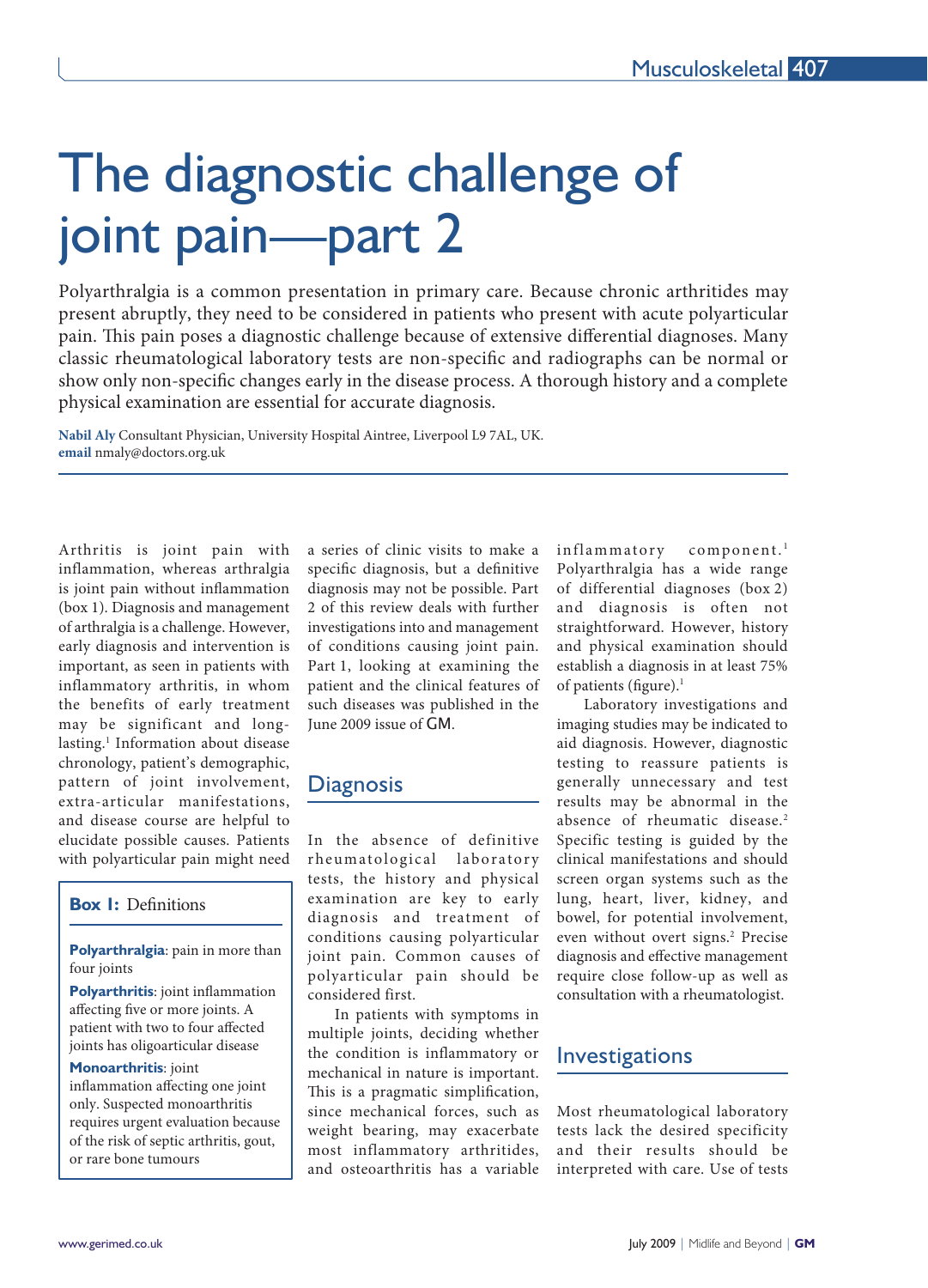# The diagnostic challenge of joint pain—part 2

Polyarthralgia is a common presentation in primary care. Because chronic arthritides may present abruptly, they need to be considered in patients who present with acute polyarticular pain. This pain poses a diagnostic challenge because of extensive differential diagnoses. Many classic rheumatological laboratory tests are non-specific and radiographs can be normal or show only non-specific changes early in the disease process. A thorough history and a complete physical examination are essential for accurate diagnosis.

**Nabil Aly** Consultant Physician, University Hospital Aintree, Liverpool L9 7AL, UK. **email** nmaly@doctors.org.uk

Arthritis is joint pain with inflammation, whereas arthralgia is joint pain without inflammation (box 1). Diagnosis and management of arthralgia is a challenge. However, early diagnosis and intervention is important, as seen in patients with inflammatory arthritis, in whom the benefits of early treatment may be significant and longlasting.1 Information about disease chronology, patient's demographic, pattern of joint involvement, extra-articular manifestations, and disease course are helpful to elucidate possible causes. Patients with polyarticular pain might need

l

## **Box I:** Definitions

**Polyarthralgia**: pain in more than four joints

**Polyarthritis**: joint inflammation affecting five or more joints. A patient with two to four affected joints has oligoarticular disease

#### **Monoarthritis**: joint

inflammation affecting one joint only. Suspected monoarthritis requires urgent evaluation because of the risk of septic arthritis, gout, or rare bone tumours

a series of clinic visits to make a specific diagnosis, but a definitive diagnosis may not be possible. Part 2 of this review deals with further investigations into and management of conditions causing joint pain. Part 1, looking at examining the patient and the clinical features of such diseases was published in the June 2009 issue of GM.

# **Diagnosis**

In the absence of definitive rheumatological laboratory tests, the history and physical examination are key to early diagnosis and treatment of conditions causing polyarticular joint pain. Common causes of polyarticular pain should be considered first.

In patients with symptoms in multiple joints, deciding whether the condition is inflammatory or mechanical in nature is important. This is a pragmatic simplification, since mechanical forces, such as weight bearing, may exacerbate most inflammatory arthritides, and osteoarthritis has a variable

inflammatory component.<sup>1</sup> Polyarthralgia has a wide range of differential diagnoses (box 2) and diagnosis is often not straightforward. However, history and physical examination should establish a diagnosis in at least 75% of patients (figure).<sup>1</sup>

Laboratory investigations and imaging studies may be indicated to aid diagnosis. However, diagnostic testing to reassure patients is generally unnecessary and test results may be abnormal in the absence of rheumatic disease.<sup>2</sup> Specific testing is guided by the clinical manifestations and should screen organ systems such as the lung, heart, liver, kidney, and bowel, for potential involvement, even without overt signs.2 Precise diagnosis and effective management require close follow-up as well as consultation with a rheumatologist.

# **Investigations**

Most rheumatological laboratory tests lack the desired specificity and their results should be interpreted with care. Use of tests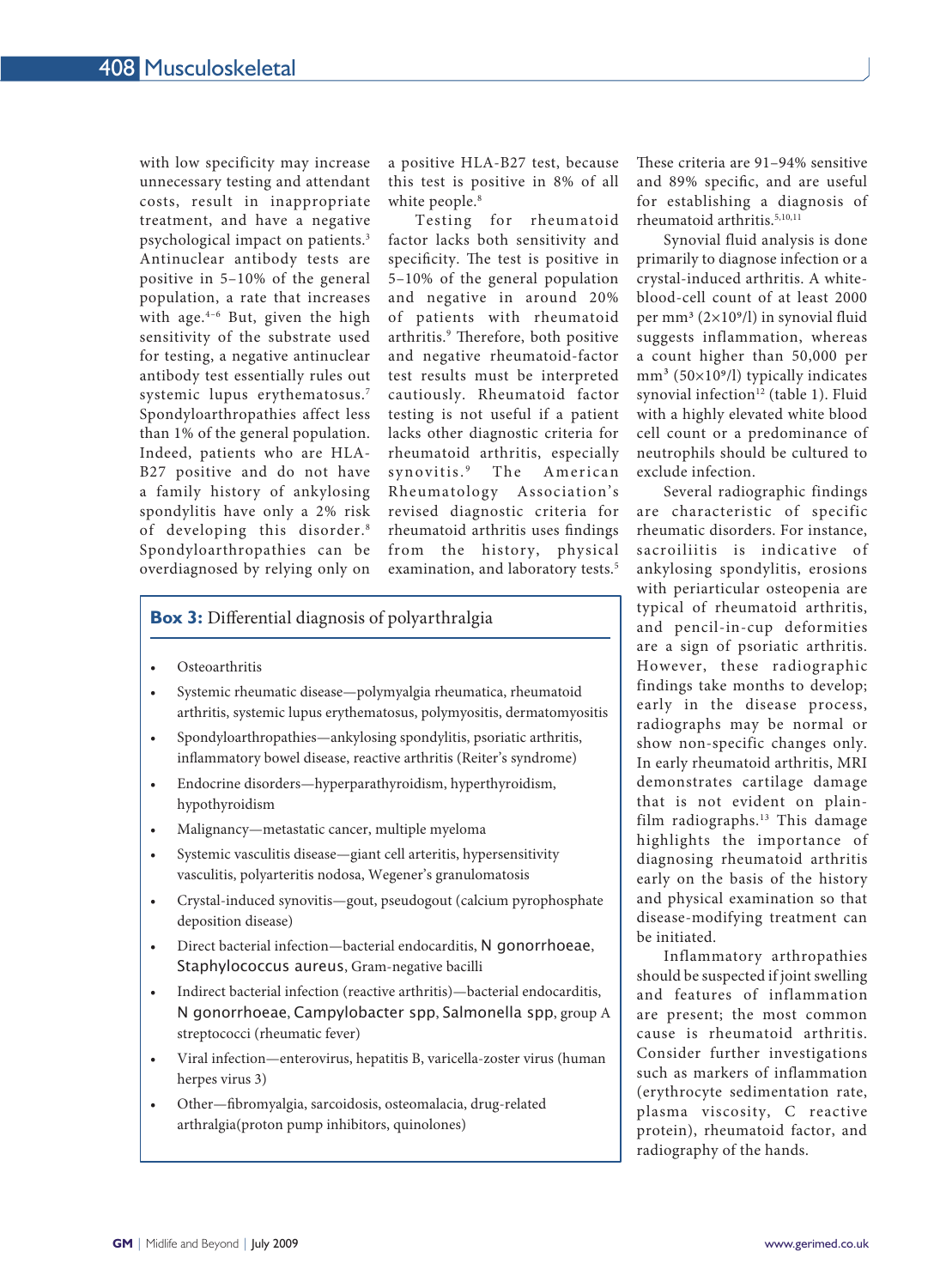with low specificity may increase unnecessary testing and attendant costs, result in inappropriate treatment, and have a negative psychological impact on patients.3 Antinuclear antibody tests are positive in 5–10% of the general population, a rate that increases with age. $4-6$  But, given the high sensitivity of the substrate used for testing, a negative antinuclear antibody test essentially rules out systemic lupus erythematosus.7 Spondyloarthropathies affect less than 1% of the general population. Indeed, patients who are HLA-B27 positive and do not have a family history of ankylosing spondylitis have only a 2% risk of developing this disorder.<sup>8</sup> Spondyloarthropathies can be overdiagnosed by relying only on

a positive HLA-B27 test, because this test is positive in 8% of all white people.<sup>8</sup>

Testing for rheumatoid factor lacks both sensitivity and specificity. The test is positive in 5–10% of the general population and negative in around 20% of patients with rheumatoid arthritis.<sup>9</sup> Therefore, both positive and negative rheumatoid-factor test results must be interpreted cautiously. Rheumatoid factor testing is not useful if a patient lacks other diagnostic criteria for rheumatoid arthritis, especially synovitis.<sup>9</sup> The American Rheumatology Association's revised diagnostic criteria for rheumatoid arthritis uses findings from the history, physical examination, and laboratory tests.<sup>5</sup>

## **Box 3:** Differential diagnosis of polyarthralgia

- Osteoarthritis
- Systemic rheumatic disease—polymyalgia rheumatica, rheumatoid arthritis, systemic lupus erythematosus, polymyositis, dermatomyositis
- Spondyloarthropathies—ankylosing spondylitis, psoriatic arthritis, inflammatory bowel disease, reactive arthritis (Reiter's syndrome)
- Endocrine disorders—hyperparathyroidism, hyperthyroidism, hypothyroidism
- Malignancy—metastatic cancer, multiple myeloma
- Systemic vasculitis disease—giant cell arteritis, hypersensitivity vasculitis, polyarteritis nodosa, Wegener's granulomatosis
- Crystal-induced synovitis—gout, pseudogout (calcium pyrophosphate deposition disease)
- Direct bacterial infection—bacterial endocarditis, N gonorrhoeae, Staphylococcus aureus, Gram-negative bacilli
- Indirect bacterial infection (reactive arthritis)—bacterial endocarditis, N gonorrhoeae, Campylobacter spp, Salmonella spp, group A streptococci (rheumatic fever)
- Viral infection—enterovirus, hepatitis B, varicella-zoster virus (human herpes virus 3)
- Other—fibromyalgia, sarcoidosis, osteomalacia, drug-related arthralgia(proton pump inhibitors, quinolones)

These criteria are 91–94% sensitive and 89% specific, and are useful for establishing a diagnosis of rheumatoid arthritis.5,10,11

Synovial fluid analysis is done primarily to diagnose infection or a crystal-induced arthritis. A whiteblood-cell count of at least 2000 per mm<sup>3</sup>  $(2\times10<sup>9</sup>/l)$  in synovial fluid suggests inflammation, whereas a count higher than 50,000 per  $mm<sup>3</sup>$  (50×10<sup>9</sup>/l) typically indicates synovial infection<sup>12</sup> (table 1). Fluid with a highly elevated white blood cell count or a predominance of neutrophils should be cultured to exclude infection.

Several radiographic findings are characteristic of specific rheumatic disorders. For instance, sacroiliitis is indicative of ankylosing spondylitis, erosions with periarticular osteopenia are typical of rheumatoid arthritis, and pencil-in-cup deformities are a sign of psoriatic arthritis. However, these radiographic findings take months to develop; early in the disease process, radiographs may be normal or show non-specific changes only. In early rheumatoid arthritis, MRI demonstrates cartilage damage that is not evident on plainfilm radiographs.<sup>13</sup> This damage highlights the importance of diagnosing rheumatoid arthritis early on the basis of the history and physical examination so that disease-modifying treatment can be initiated.

Inflammatory arthropathies should be suspected if joint swelling and features of inflammation are present; the most common cause is rheumatoid arthritis. Consider further investigations such as markers of inflammation (erythrocyte sedimentation rate, plasma viscosity, C reactive protein), rheumatoid factor, and radiography of the hands.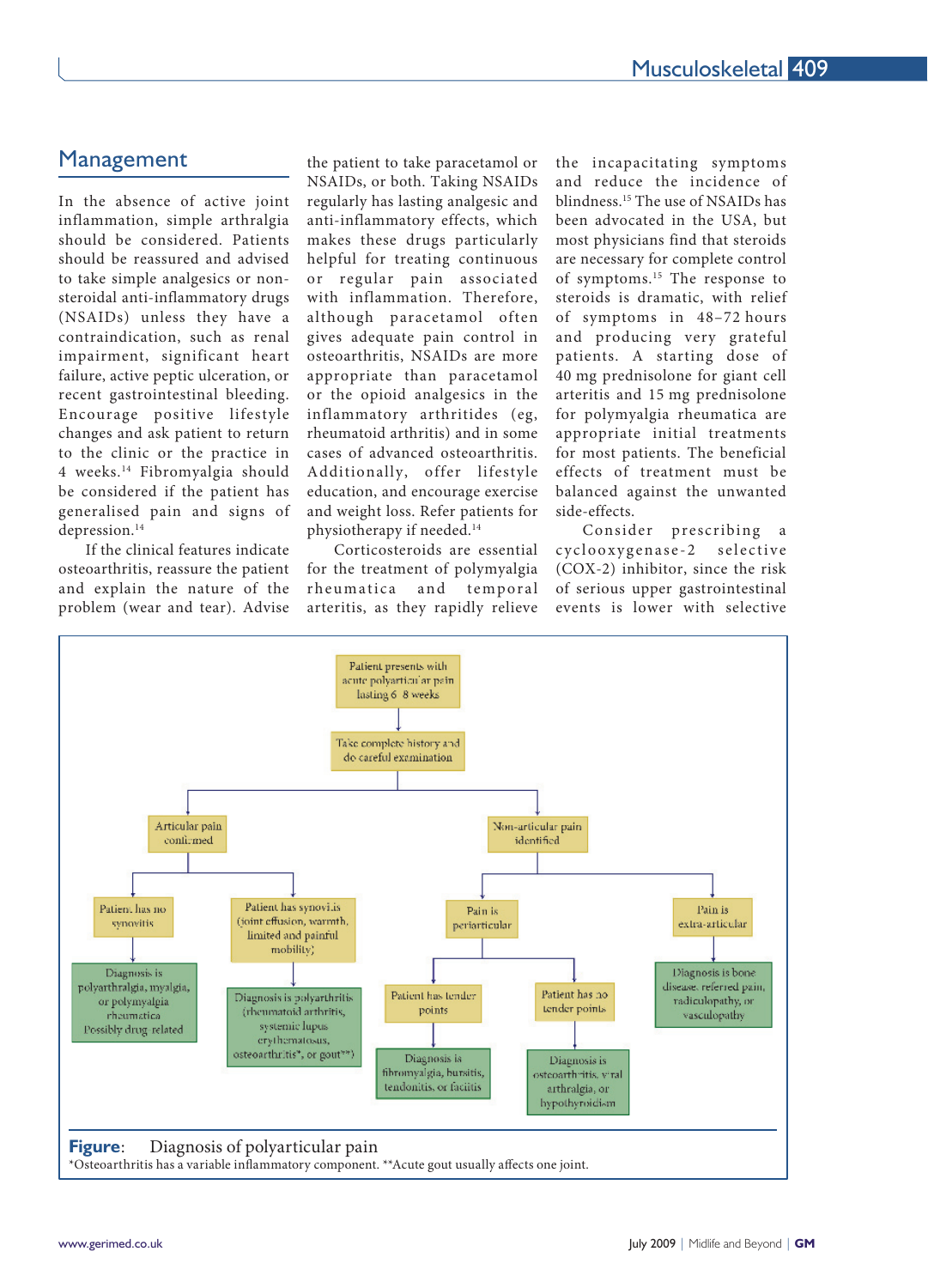# Management

In the absence of active joint inflammation, simple arthralgia should be considered. Patients should be reassured and advised to take simple analgesics or nonsteroidal anti-inflammatory drugs (NSAIDs) unless they have a contraindication, such as renal impairment, significant heart failure, active peptic ulceration, or recent gastrointestinal bleeding. Encourage positive lifestyle changes and ask patient to return to the clinic or the practice in 4 weeks.14 Fibromyalgia should be considered if the patient has generalised pain and signs of depression.<sup>14</sup>

If the clinical features indicate osteoarthritis, reassure the patient and explain the nature of the problem (wear and tear). Advise

the patient to take paracetamol or NSAIDs, or both. Taking NSAIDs regularly has lasting analgesic and anti-inflammatory effects, which makes these drugs particularly helpful for treating continuous or regular pain associated with inflammation. Therefore, although paracetamol often gives adequate pain control in osteoarthritis, NSAIDs are more appropriate than paracetamol or the opioid analgesics in the inflammatory arthritides (eg, rheumatoid arthritis) and in some cases of advanced osteoarthritis. Additionally, offer lifestyle education, and encourage exercise and weight loss. Refer patients for physiotherapy if needed.14

Corticosteroids are essential for the treatment of polymyalgia rheumatica and temporal arteritis, as they rapidly relieve the incapacitating symptoms and reduce the incidence of blindness.15 The use of NSAIDs has been advocated in the USA, but most physicians find that steroids are necessary for complete control of symptoms.15 The response to steroids is dramatic, with relief of symptoms in 48–72 hours and producing very grateful patients. A starting dose of 40 mg prednisolone for giant cell arteritis and 15 mg prednisolone for polymyalgia rheumatica are appropriate initial treatments for most patients. The beneficial effects of treatment must be balanced against the unwanted side-effects.

Consider prescribing a cyclooxygenase-2 selective (COX-2) inhibitor, since the risk of serious upper gastrointestinal events is lower with selective

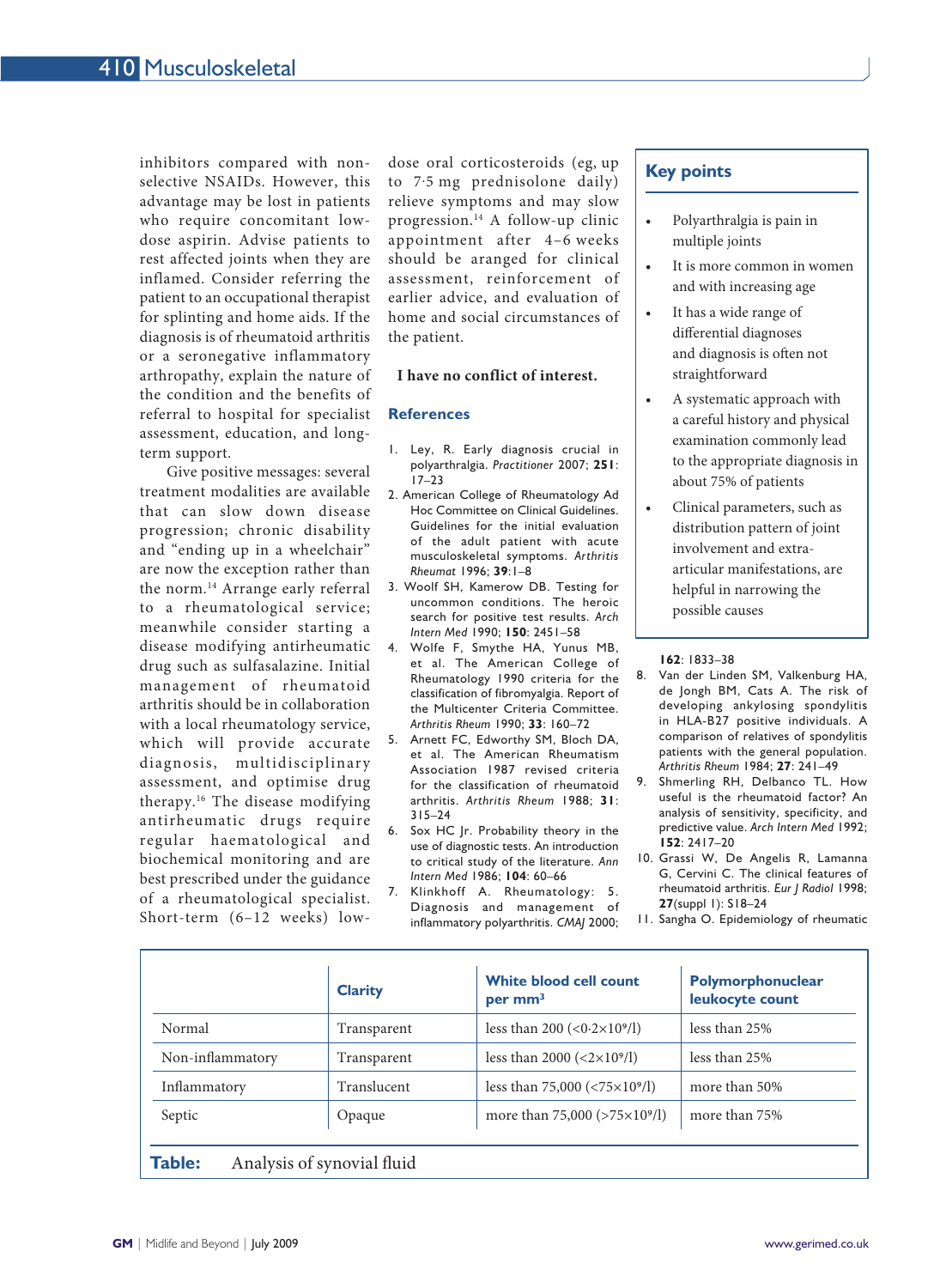inhibitors compared with nonselective NSAIDs. However, this advantage may be lost in patients who require concomitant lowdose aspirin. Advise patients to rest affected joints when they are inflamed. Consider referring the patient to an occupational therapist for splinting and home aids. If the diagnosis is of rheumatoid arthritis or a seronegative inflammatory arthropathy, explain the nature of the condition and the benefits of referral to hospital for specialist assessment, education, and longterm support.

Give positive messages: several treatment modalities are available that can slow down disease progression; chronic disability and "ending up in a wheelchair" are now the exception rather than the norm.14 Arrange early referral to a rheumatological service; meanwhile consider starting a disease modifying antirheumatic drug such as sulfasalazine. Initial management of rheumatoid arthritis should be in collaboration with a local rheumatology service, which will provide accurate diagnosis, multidisciplinary assessment, and optimise drug therapy.16 The disease modifying antirheumatic drugs require regular haematological and biochemical monitoring and are best prescribed under the guidance of a rheumatological specialist. Short-term (6–12 weeks) low-

dose oral corticosteroids (eg, up to 7.5 mg prednisolone daily) relieve symptoms and may slow progression.14 A follow-up clinic appointment after 4–6 weeks should be aranged for clinical assessment, reinforcement of earlier advice, and evaluation of home and social circumstances of the patient.

#### **I have no conflict of interest.**

#### **References**

- 1. Ley, R. Early diagnosis crucial in polyarthralgia. *Practitioner* 2007; **251**: 17–23
- 2. American College of Rheumatology Ad Hoc Committee on Clinical Guidelines. Guidelines for the initial evaluation of the adult patient with acute musculoskeletal symptoms. *Arthritis Rheumat* 1996; **39**:1–8
- 3. Woolf SH, Kamerow DB. Testing for uncommon conditions. The heroic search for positive test results. *Arch Intern Med* 1990; **150**: 2451–58
- 4. Wolfe F, Smythe HA, Yunus MB, et al. The American College of Rheumatology 1990 criteria for the classification of fibromyalgia. Report of the Multicenter Criteria Committee. *Arthritis Rheum* 1990; **33**: 160–72
- 5. Arnett FC, Edworthy SM, Bloch DA, et al. The American Rheumatism Association 1987 revised criteria for the classification of rheumatoid arthritis. *Arthritis Rheum* 1988; **31**: 315–24
- 6. Sox HC Jr. Probability theory in the use of diagnostic tests. An introduction to critical study of the literature. *Ann Intern Med* 1986; **104**: 60–66
- 7. Klinkhoff A. Rheumatology: 5. Diagnosis and management of inflammatory polyarthritis. *CMAJ* 2000;

## **Key points**

- Polyarthralgia is pain in multiple joints
- It is more common in women and with increasing age
- It has a wide range of differential diagnoses and diagnosis is often not straightforward
- A systematic approach with a careful history and physical examination commonly lead to the appropriate diagnosis in about 75% of patients
- Clinical parameters, such as distribution pattern of joint involvement and extraarticular manifestations, are helpful in narrowing the possible causes

#### **162**: 1833–38

- 8. Van der Linden SM, Valkenburg HA, de Jongh BM, Cats A. The risk of developing ankylosing spondylitis in HLA-B27 positive individuals. A comparison of relatives of spondylitis patients with the general population. *Arthritis Rheum* 1984; **27**: 241–49
- 9. Shmerling RH, Delbanco TL. How useful is the rheumatoid factor? An analysis of sensitivity, specificity, and predictive value. *Arch Intern Med* 1992; **152**: 2417–20
- 10. Grassi W, De Angelis R, Lamanna G, Cervini C. The clinical features of rheumatoid arthritis. *Eur J Radiol* 1998; **27**(suppl 1): S18–24
- 11. Sangha O. Epidemiology of rheumatic

|                  | <b>Clarity</b> | <b>White blood cell count</b><br>per mm <sup>3</sup>        | Polymorphonuclear<br>leukocyte count |
|------------------|----------------|-------------------------------------------------------------|--------------------------------------|
| Normal           | Transparent    | less than 200 $(<0.2×109/l)$                                | less than 25%                        |
| Non-inflammatory | Transparent    | less than 2000 $(<2\times109/l)$                            | less than 25%                        |
| Inflammatory     | Translucent    | less than 75,000 $\left( \frac{5 \times 10^{9}}{1} \right)$ | more than 50%                        |
| Septic           | Opaque         | more than 75,000 (>75×10°/l)                                | more than 75%                        |